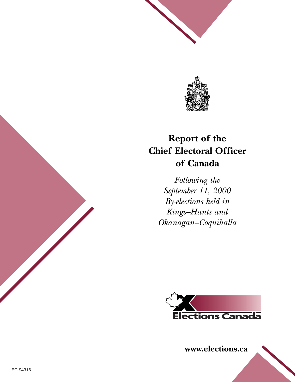

# **Report of the Chief Electoral Officer of Canada**

*Following the September 11, 2000 By-elections held in Kings–Hants and Okanagan–Coquihalla*



**www.elections.ca**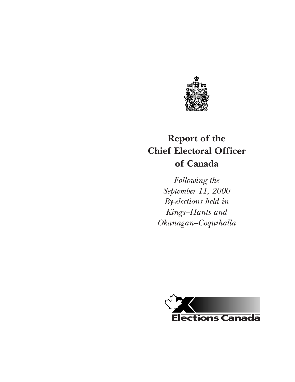

# **Report of the Chief Electoral Officer of Canada**

*Following the September 11, 2000 By-elections held in Kings–Hants and Okanagan–Coquihalla*

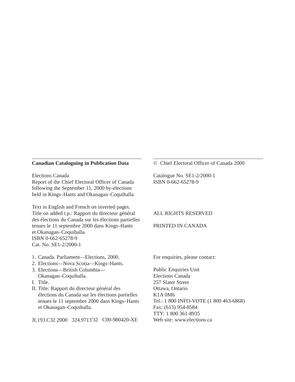#### **Canadian Cataloguing in Publication Data**

Elections Canada Report of the Chief Electoral Officer of Canada following the September 11, 2000 by-elections held in Kings–Hants and Okanagan–Coquihalla

Text in English and French on inverted pages. Title on added t.p.: Rapport du directeur général des élections du Canada sur les élections partielles tenues le 11 septembre 2000 dans Kings–Hants et Okanagan–Coquihalla. ISBN 0-662-65278-9 Cat. No. SE1-2/2000-1

- 1. Canada. Parliament—Elections, 2000.
- 2. Elections—Nova Scotia—Kings–Hants.
- 3. Elections—British Columbia— Okanagan–Coquihalla.
- I. Title.
- II. Title: Rapport du directeur général des élections du Canada sur les élections partielles tenues le 11 septembre 2000 dans Kings–Hants et Okanagan–Coquihalla.

JL193.C32 2000 324.9713'32 C00-980420-XE

#### © Chief Electoral Officer of Canada 2000

Catalogue No. SE1-2/2000-1 ISBN 0-662-65278-9

#### ALL RIGHTS RESERVED

#### PRINTED IN CANADA

For enquiries, please contact:

Public Enquiries Unit Elections Canada 257 Slater Street Ottawa, Ontario K1A 0M6 Tel.: 1 800 INFO-VOTE (1 800 463-6868) Fax: (613) 954-8584 TTY: 1 800 361-8935 Web site: www.elections.ca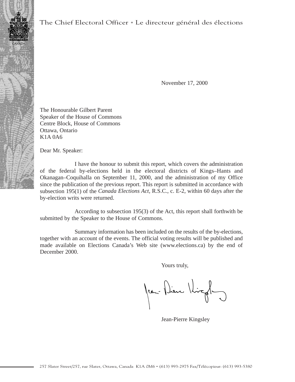### The Chief Electoral Officer • Le directeur général des élections

November 17, 2000

The Honourable Gilbert Parent Speaker of the House of Commons Centre Block, House of Commons Ottawa, Ontario K1A 0A6

Dear Mr. Speaker:

I have the honour to submit this report, which covers the administration of the federal by-elections held in the electoral districts of Kings–Hants and Okanagan–Coquihalla on September 11, 2000, and the administration of my Office since the publication of the previous report. This report is submitted in accordance with subsection 195(1) of the *Canada Elections Act*, R.S.C., c. E-2, within 60 days after the by-election writs were returned.

According to subsection 195(3) of the Act, this report shall forthwith be submitted by the Speaker to the House of Commons.

Summary information has been included on the results of the by-elections, together with an account of the events. The official voting results will be published and made available on Elections Canada's Web site (www.elections.ca) by the end of December 2000.

Yours truly,

Jean-Dieu Kigh

Jean-Pierre Kingsley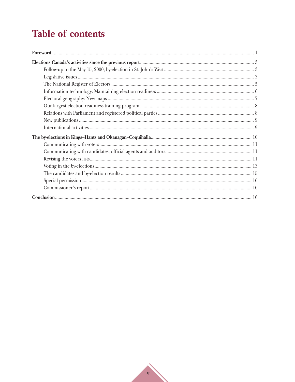# **Table of contents**

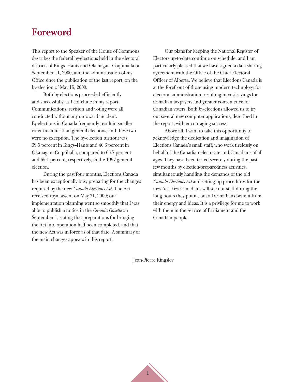## <span id="page-7-0"></span>**Foreword**

This report to the Speaker of the House of Commons describes the federal by-elections held in the electoral districts of Kings–Hants and Okanagan–Coquihalla on September 11, 2000, and the administration of my Office since the publication of the last report, on the by-election of May 15, 2000.

Both by-elections proceeded efficiently and successfully, as I conclude in my report. Communications, revision and voting were all conducted without any untoward incident. By-elections in Canada frequently result in smaller voter turnouts than general elections, and these two were no exception. The by-election turnout was 39.5 percent in Kings–Hants and 40.3 percent in Okanagan–Coquihalla, compared to 65.7 percent and 65.1 percent, respectively, in the 1997 general election.

During the past four months, Elections Canada has been exceptionally busy preparing for the changes required by the new *Canada Elections Act.* The Act received royal assent on May 31, 2000; our implementation planning went so smoothly that I was able to publish a notice in the *Canada Gazette* on September 1, stating that preparations for bringing the Act into operation had been completed, and that the new Act was in force as of that date. A summary of the main changes appears in this report.

Our plans for keeping the National Register of Electors up-to-date continue on schedule, and I am particularly pleased that we have signed a data-sharing agreement with the Office of the Chief Electoral Officer of Alberta. We believe that Elections Canada is at the forefront of those using modern technology for electoral administration, resulting in cost savings for Canadian taxpayers and greater convenience for Canadian voters. Both by-elections allowed us to try out several new computer applications, described in the report, with encouraging success.

Above all, I want to take this opportunity to acknowledge the dedication and imagination of Elections Canada's small staff, who work tirelessly on behalf of the Canadian electorate and Canadians of all ages. They have been tested severely during the past few months by election-preparedness activities, simultaneously handling the demands of the old *Canada Elections Act* and setting up procedures for the new Act. Few Canadians will see our staff during the long hours they put in, but all Canadians benefit from their energy and ideas. It is a privilege for me to work with them in the service of Parliament and the Canadian people.

Jean-Pierre Kingsley

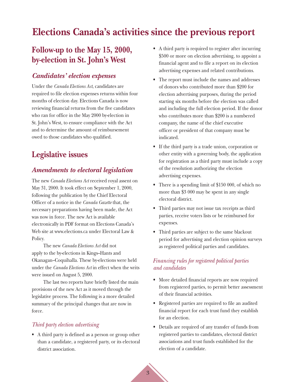# <span id="page-9-0"></span>**Elections Canada's activities since the previous report**

## **Follow-up to the May 15, 2000, by-election in St. John's West**

### *Candidates' election expenses*

Under the *Canada Elections Act*, candidates are required to file election expenses returns within four months of election day. Elections Canada is now reviewing financial returns from the five candidates who ran for office in the May 2000 by-election in St. John's West, to ensure compliance with the Act and to determine the amount of reimbursement owed to those candidates who qualified.

## **Legislative issues**

### *Amendments to electoral legislation*

The new *Canada Elections Act* received royal assent on May 31, 2000. It took effect on September 1, 2000, following the publication by the Chief Electoral Officer of a notice in the *Canada Gazette* that, the necessary preparations having been made, the Act was now in force. The new Act is available electronically in PDF format on Elections Canada's Web site at www.elections.ca under Electoral Law & Policy.

The new *Canada Elections Act* did not apply to the by-elections in Kings–Hants and Okanagan–Coquihalla. These by-elections were held under the *Canada Elections Act* in effect when the writs were issued on August 5, 2000.

The last two reports have briefly listed the main provisions of the new Act as it moved through the legislative process. The following is a more detailed summary of the principal changes that are now in force.

### *Third party election advertising*

• A third party is defined as a person or group other than a candidate, a registered party, or its electoral district association.

- A third party is required to register after incurring \$500 or more on election advertising, to appoint a financial agent and to file a report on its election advertising expenses and related contributions.
- The report must include the names and addresses of donors who contributed more than \$200 for election advertising purposes, during the period starting six months before the election was called and including the full election period. If the donor who contributes more than \$200 is a numbered company, the name of the chief executive officer or president of that company must be indicated.
- If the third party is a trade union, corporation or other entity with a governing body, the application for registration as a third party must include a copy of the resolution authorizing the election advertising expenses.
- There is a spending limit of \$150 000, of which no more than \$3 000 may be spent in any single electoral district.
- Third parties may not issue tax receipts as third parties, receive voters lists or be reimbursed for expenses.
- Third parties are subject to the same blackout period for advertising and election opinion surveys as registered political parties and candidates.

### *Financing rules for registered political parties and candidates*

- More detailed financial reports are now required from registered parties, to permit better assessment of their financial activities.
- Registered parties are required to file an audited financial report for each trust fund they establish for an election.
- Details are required of any transfer of funds from registered parties to candidates, electoral district associations and trust funds established for the election of a candidate.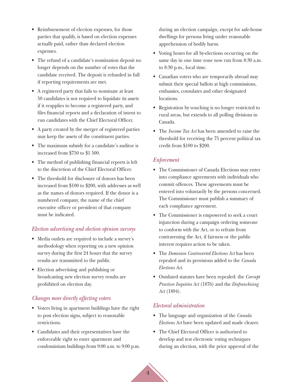- Reimbursement of election expenses, for those parties that qualify, is based on election expenses actually paid, rather than declared election expenses.
- The refund of a candidate's nomination deposit no longer depends on the number of votes that the candidate received. The deposit is refunded in full if reporting requirements are met.
- A registered party that fails to nominate at least 50 candidates is not required to liquidate its assets if it reapplies to become a registered party, and files financial reports and a declaration of intent to run candidates with the Chief Electoral Officer.
- A party created by the merger of registered parties may keep the assets of the constituent parties.
- The maximum subsidy for a candidate's auditor is increased from \$750 to \$1 500.
- The method of publishing financial reports is left to the discretion of the Chief Electoral Officer.
- The threshold for disclosure of donors has been increased from \$100 to \$200, with addresses as well as the names of donors required. If the donor is a numbered company, the name of the chief executive officer or president of that company must be indicated.

### *Election advertising and election opinion surveys*

- Media outlets are required to include a survey's methodology when reporting on a new opinion survey during the first 24 hours that the survey results are transmitted to the public.
- Election advertising and publishing or broadcasting new election survey results are prohibited on election day.

### *Changes more directly affecting voters*

- Voters living in apartment buildings have the right to post election signs, subject to reasonable restrictions.
- Candidates and their representatives have the enforceable right to enter apartment and condominium buildings from 9:00 a.m. to 9:00 p.m.

during an election campaign, except for safe-house dwellings for persons living under reasonable apprehension of bodily harm.

- Voting hours for all by-elections occurring on the same day in one time zone now run from 8:30 a.m. to 8:30 p.m., local time.
- Canadian voters who are temporarily abroad may submit their special ballots at high commissions, embassies, consulates and other designated locations.
- Registration by vouching is no longer restricted to rural areas, but extends to all polling divisions in Canada.
- The *Income Tax Act* has been amended to raise the threshold for receiving the 75 percent political tax credit from \$100 to \$200.

### *Enforcement*

- The Commissioner of Canada Elections may enter into compliance agreements with individuals who commit offences. These agreements must be entered into voluntarily by the persons concerned. The Commissioner must publish a summary of each compliance agreement.
- The Commissioner is empowered to seek a court injunction during a campaign ordering someone to conform with the Act, or to refrain from contravening the Act, if fairness or the public interest requires action to be taken.
- The *Dominion Controverted Elections Act* has been repealed and its provisions added to the *Canada Elections Act*.
- Outdated statutes have been repealed: the *Corrupt Practices Inquiries Act* (1876) and the *Disfranchising Act* (1894).

### *Electoral administration*

- The language and organization of the *Canada Elections Act* have been updated and made clearer.
- The Chief Electoral Officer is authorized to develop and test electronic voting techniques during an election, with the prior approval of the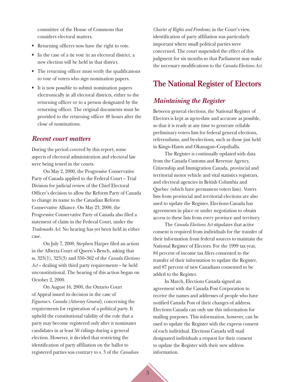<span id="page-11-0"></span>committee of the House of Commons that considers electoral matters.

- Returning officers now have the right to vote.
- In the case of a tie vote in an electoral district, a new election will be held in that district.
- The returning officer must verify the qualifications to vote of voters who sign nomination papers.
- It is now possible to submit nomination papers electronically in all electoral districts, either to the returning officer or to a person designated by the returning officer. The original documents must be provided to the returning officer 48 hours after the close of nominations.

### *Recent court matters*

During the period covered by this report, some aspects of electoral administration and electoral law were being tested in the courts.

On May 2, 2000, the Progressive Conservative Party of Canada applied to the Federal Court – Trial Division for judicial review of the Chief Electoral Officer's decision to allow the Reform Party of Canada to change its name to the Canadian Reform Conservative Alliance. On May 23, 2000, the Progressive Conservative Party of Canada also filed a statement of claim in the Federal Court, under the *Trademarks Act*. No hearing has yet been held in either case.

On July 7, 2000, Stephen Harper filed an action in the Alberta Court of Queen's Bench, asking that ss. 323(1), 323(3) and 350–362 of the *Canada Elections Act* – dealing with third party requirements – be held unconstitutional. The hearing of this action began on October 2, 2000.

On August 16, 2000, the Ontario Court of Appeal issued its decision in the case of *Figueroa* v. *Canada (Attorney General)*, concerning the requirements for registration of a political party. It upheld the constitutional validity of the rule that a party may become registered only after it nominates candidates in at least 50 ridings during a general election. However, it decided that restricting the identification of party affiliation on the ballot to registered parties was contrary to s. 3 of the *Canadian*

*Charter of Rights and Freedoms*; in the Court's view, identification of party affiliation was particularly important where small political parties were concerned. The court suspended the effect of this judgment for six months so that Parliament may make the necessary modifications to the *Canada Elections Act*.

## **The National Register of Electors**

### *Maintaining the Register*

Between general elections, the National Register of Electors is kept as up-to-date and accurate as possible, so that it is ready at any time to generate reliable preliminary voters lists for federal general elections, referendums, and by-elections, such as those just held in Kings–Hants and Okanagan–Coquihalla.

The Register is continually updated with data from the Canada Customs and Revenue Agency, Citizenship and Immigration Canada, provincial and territorial motor vehicle and vital statistics registrars, and electoral agencies in British Columbia and Quebec (which have permanent voters lists). Voters lists from provincial and territorial elections are also used to update the Register. Elections Canada has agreements in place or under negotiation to obtain access to these lists from every province and territory.

The *Canada Elections Act* stipulates that active consent is required from individuals for the transfer of their information from federal sources to maintain the National Register of Electors. For the 1999 tax year, 84 percent of income tax filers consented to the transfer of their information to update the Register, and 87 percent of new Canadians consented to be added to the Register.

In March, Elections Canada signed an agreement with the Canada Post Corporation to receive the names and addresses of people who have notified Canada Post of their changes of address. Elections Canada can only use this information for mailing purposes. This information, however, can be used to update the Register with the express consent of each individual. Elections Canada will mail designated individuals a request for their consent to update the Register with their new address information.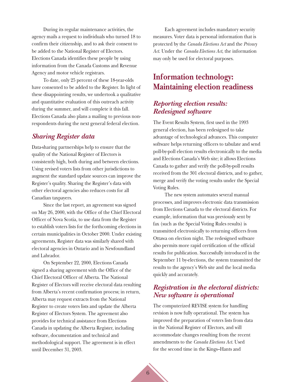<span id="page-12-0"></span>During its regular maintenance activities, the agency mails a request to individuals who turned 18 to confirm their citizenship, and to ask their consent to be added to the National Register of Electors. Elections Canada identifies these people by using information from the Canada Customs and Revenue Agency and motor vehicle registrars.

To date, only 25 percent of these 18-year-olds have consented to be added to the Register. In light of these disappointing results, we undertook a qualitative and quantitative evaluation of this outreach activity during the summer, and will complete it this fall. Elections Canada also plans a mailing to previous nonrespondents during the next general federal election.

## *Sharing Register data*

Data-sharing partnerships help to ensure that the quality of the National Register of Electors is consistently high, both during and between elections. Using revised voters lists from other jurisdictions to augment the standard update sources can improve the Register's quality. Sharing the Register's data with other electoral agencies also reduces costs for all Canadian taxpayers.

Since the last report, an agreement was signed on May 26, 2000, with the Office of the Chief Electoral Officer of Nova Scotia, to use data from the Register to establish voters lists for the forthcoming elections in certain municipalities in October 2000. Under existing agreements, Register data was similarly shared with electoral agencies in Ontario and in Newfoundland and Labrador.

On September 22, 2000, Elections Canada signed a sharing agreement with the Office of the Chief Electoral Officer of Alberta. The National Register of Electors will receive electoral data resulting from Alberta's recent confirmation process; in return, Alberta may request extracts from the National Register to create voters lists and update the Alberta Register of Electors System. The agreement also provides for technical assistance from Elections Canada in updating the Alberta Register, including software, documentation and technical and methodological support. The agreement is in effect until December 31, 2003.

Each agreement includes mandatory security measures. Voter data is personal information that is protected by the *Canada Elections Act* and the *Privacy Act*. Under the *Canada Elections Act*, the information may only be used for electoral purposes.

## **Information technology: Maintaining election readiness**

### *Reporting election results: Redesigned software*

The Event Results System, first used in the 1993 general election, has been redesigned to take advantage of technological advances. This computer software helps returning officers to tabulate and send poll-by-poll election results electronically to the media and Elections Canada's Web site; it allows Elections Canada to gather and verify the poll-by-poll results received from the 301 electoral districts, and to gather, merge and verify the voting results under the Special Voting Rules.

The new system automates several manual processes, and improves electronic data transmission from Elections Canada to the electoral districts. For example, information that was previously sent by fax (such as the Special Voting Rules results) is transmitted electronically to returning officers from Ottawa on election night. The redesigned software also permits more rapid certification of the official results for publication. Successfully introduced in the September 11 by-elections, the system transmitted the results to the agency's Web site and the local media quickly and accurately.

## *Registration in the electoral districts: New software is operational*

The computerized REVISE system for handling revision is now fully operational. The system has improved the preparation of voters lists from data in the National Register of Electors, and will accommodate changes resulting from the recent amendments to the *Canada Elections Act*. Used for the second time in the Kings–Hants and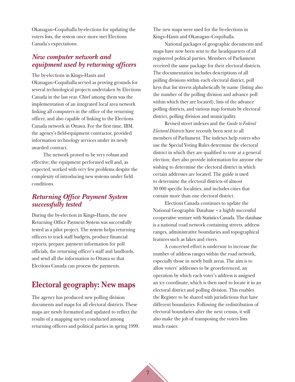<span id="page-13-0"></span>Okanagan–Coquihalla by-elections for updating the voters lists, the system once more met Elections Canada's expectations.

### *New computer network and equipment used by returning officers*

The by-elections in Kings–Hants and

Okanagan–Coquihalla served as proving grounds for several technological projects undertaken by Elections Canada in the last year. Chief among them was the implementation of an integrated local area network linking all computers in the office of the returning officer, and also capable of linking to the Elections Canada network in Ottawa. For the first time, IBM, the agency's field-equipment contractor, provided information technology services under its newly awarded contract.

The network proved to be very robust and effective; the equipment performed well and, as expected, worked with very few problems despite the complexity of introducing new systems under field conditions.

## *Returning Office Payment System successfully tested*

During the by-election in Kings–Hants, the new Returning Office Payment System was successfully tested as a pilot project. The system helps returning officers to track staff budgets, produce financial reports, prepare payment information for poll officials, the returning officer's staff and landlords, and send all the information to Ottawa so that Elections Canada can process the payments.

## **Electoral geography: New maps**

The agency has produced new polling division documents and maps for all electoral districts. These maps are newly formatted and updated to reflect the results of a mapping survey conducted among returning officers and political parties in spring 1999. The new maps were used for the by-elections in Kings–Hants and Okanagan–Coquihalla.

National packages of geographic documents and maps have now been sent to the headquarters of all registered political parties. Members of Parliament received the same package for their electoral districts. The documentation includes descriptions of all polling divisions within each electoral district, poll keys that list streets alphabetically by name (listing also the number of the polling division and advance poll within which they are located), lists of the advance polling districts, and various map formats by electoral district, polling division and municipality.

Revised street indexes and the *Guide to Federal Electoral Districts* have recently been sent to all members of Parliament. The indexes help voters who use the Special Voting Rules determine the electoral district in which they are qualified to vote at a general election; they also provide information for anyone else wishing to determine the electoral district in which certain addresses are located. The guide is used to determine the electoral districts of almost 30 000 specific localities, and includes cities that contain more than one electoral district.

Elections Canada continues to update the National Geographic Database – a highly successful co-operative venture with Statistics Canada. The database is a national road network containing streets, address ranges, administrative boundaries and topographical features such as lakes and rivers.

A concerted effort is underway to increase the number of address ranges within the road network, especially those in newly built areas. The aim is to allow voters' addresses to be georeferenced, an operation by which each voter's address is assigned an x-y coordinate, which is then used to locate it in an electoral district and polling division. This enables the Register to be shared with jurisdictions that have different boundaries. Following the redistribution of electoral boundaries after the next census, it will also make the job of transposing the voters lists much easier.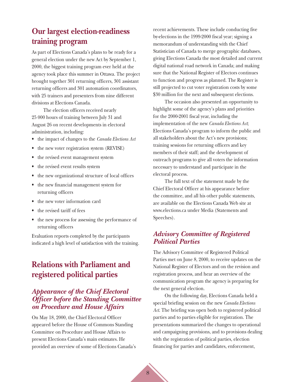## <span id="page-14-0"></span>**Our largest election-readiness training program**

As part of Elections Canada's plans to be ready for a general election under the new Act by September 1, 2000, the biggest training program ever held at the agency took place this summer in Ottawa. The project brought together 301 returning officers, 301 assistant returning officers and 301 automation coordinators, with 25 trainers and presenters from nine different divisions at Elections Canada.

The election officers received nearly 25 000 hours of training between July 31 and August 26 on recent developments in electoral administration, including:

- the impact of changes to the *Canada Elections Act*
- the new voter registration system (REVISE)
- the revised event management system
- the revised event results system
- the new organizational structure of local offices
- the new financial management system for returning officers
- the new voter information card
- the revised tariff of fees
- the new process for assessing the performance of returning officers

Evaluation reports completed by the participants indicated a high level of satisfaction with the training.

## **Relations with Parliament and registered political parties**

## *Appearance of the Chief Electoral Officer before the Standing Committee on Procedure and House Affairs*

On May 18, 2000, the Chief Electoral Officer appeared before the House of Commons Standing Committee on Procedure and House Affairs to present Elections Canada's main estimates. He provided an overview of some of Elections Canada's recent achievements. These include conducting five by-elections in the 1999-2000 fiscal year; signing a memorandum of understanding with the Chief Statistician of Canada to merge geographic databases, giving Elections Canada the most detailed and current digital national road network in Canada; and making sure that the National Register of Electors continues to function and progress as planned. The Register is still projected to cut voter registration costs by some \$30 million for the next and subsequent elections.

The occasion also presented an opportunity to highlight some of the agency's plans and priorities for the 2000-2001 fiscal year, including the implementation of the new *Canada Elections Act*; Elections Canada's program to inform the public and all stakeholders about the Act's new provisions; training sessions for returning officers and key members of their staff; and the development of outreach programs to give all voters the information necessary to understand and participate in the electoral process.

The full text of the statement made by the Chief Electoral Officer at his appearance before the committee, and all his other public statements, are available on the Elections Canada Web site at www.elections.ca under Media (Statements and Speeches).

## *Advisory Committee of Registered Political Parties*

The Advisory Committee of Registered Political Parties met on June 8, 2000, to receive updates on the National Register of Electors and on the revision and registration process, and hear an overview of the communication program the agency is preparing for the next general election.

On the following day, Elections Canada held a special briefing session on the new *Canada Elections Act*. The briefing was open both to registered political parties and to parties eligible for registration. The presentations summarized the changes to operational and campaigning provisions, and to provisions dealing with the registration of political parties, election financing for parties and candidates, enforcement,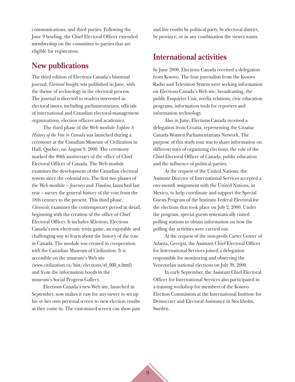<span id="page-15-0"></span>communications, and third parties. Following the June 9 briefing, the Chief Electoral Officer extended membership on the committee to parties that are eligible for registration.

## **New publications**

The third edition of Elections Canada's biannual journal, *Electoral Insight*, was published in June, with the theme of technology in the electoral process. The journal is directed to readers interested in electoral issues, including parliamentarians, officials of international and Canadian electoral-management organizations, election officers and academics.

The third phase of the Web module *Explore A History of the Vote in Canada* was launched during a ceremony at the Canadian Museum of Civilization in Hull, Quebec, on August 9, 2000. The ceremony marked the 80th anniversary of the office of Chief Electoral Officer of Canada. The Web module examines the development of the Canadian electoral system since the colonial era. The first two phases of the Web module – *Journeys* and *Timeline*, launched last year – survey the general history of the vote from the 18th century to the present. This third phase, *Chronicle*, examines the contemporary period in detail, beginning with the creation of the office of Chief Electoral Officer. It includes *SElections*, Elections Canada's new electronic trivia game, an enjoyable and challenging way to learn about the history of the vote in Canada. The module was created in co-operation with the Canadian Museum of Civilization. It is accessible on the museum's Web site (www.civilization.ca/hist/elections/el\_000\_e.html) and from the information booth in the museum's Social Progress Gallery.

Elections Canada's new Web site, launched in September, now makes it easy for any viewer to set up his or her own personal screen to view election results as they come in. The customized screen can show past and live results by political party, by electoral district, by province, or in any combination the viewer wants.

## **International activities**

In June 2000, Elections Canada received a delegation from Kosovo. The four journalists from the Kosovo Radio and Television System were seeking information on Elections Canada's Web site, broadcasting, the public Enquiries Unit, media relations, civic education programs, information tools for reporters and information technology.

Also in June, Elections Canada received a delegation from Croatia, representing the Croatia-Canada Women Parliamentarians Network. The purpose of this study tour was to share information on different ways of organizing elections, the role of the Chief Electoral Officer of Canada, public education and the influence of political parties.

At the request of the United Nations, the Assistant Director of International Services accepted a one-month assignment with the United Nations, in Mexico, to help coordinate and support the Special Guests Program of the Instituto Federal Electoral for the elections that took place on July 2, 2000. Under the program, special guests systematically visited polling stations to obtain information on how the polling day activities were carried out.

At the request of the non-profit Carter Center of Atlanta, Georgia, the Assistant Chief Electoral Officer for International Services joined a delegation responsible for monitoring and observing the Venezuelan national elections on July 30, 2000.

In early September, the Assistant Chief Electoral Officer for International Services also participated in a training workshop for members of the Kosovo Election Commission at the International Institute for Democracy and Electoral Assistance in Stockholm, Sweden.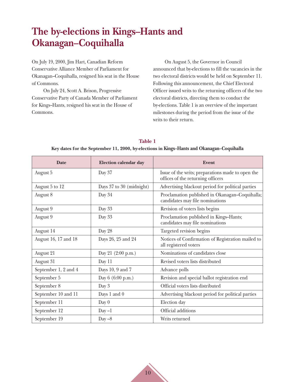# <span id="page-16-0"></span>**The by-elections in Kings–Hants and Okanagan–Coquihalla**

On July 19, 2000, Jim Hart, Canadian Reform Conservative Alliance Member of Parliament for Okanagan–Coquihalla, resigned his seat in the House of Commons.

On July 24, Scott A. Brison, Progressive Conservative Party of Canada Member of Parliament for Kings–Hants, resigned his seat in the House of Commons.

On August 5, the Governor in Council announced that by-elections to fill the vacancies in the two electoral districts would be held on September 11. Following this announcement, the Chief Electoral Officer issued writs to the returning officers of the two electoral districts, directing them to conduct the by-elections. Table 1 is an overview of the important milestones during the period from the issue of the writs to their return.

| Table 1                                                                                   |
|-------------------------------------------------------------------------------------------|
| Key dates for the September 11, 2000, by-elections in Kings–Hants and Okanagan–Coquihalla |

| <b>Date</b>          | <b>Election calendar day</b> | Event                                                                                  |
|----------------------|------------------------------|----------------------------------------------------------------------------------------|
| August 5             | Day 37                       | Issue of the writs; preparations made to open the<br>offices of the returning officers |
| August 5 to 12       | Days 37 to 30 (midnight)     | Advertising blackout period for political parties                                      |
| August 8             | Day 34                       | Proclamation published in Okanagan-Coquihalla;<br>candidates may file nominations      |
| August 9             | Day 33                       | Revision of voters lists begins                                                        |
| August 9             | Day 33                       | Proclamation published in Kings-Hants;<br>candidates may file nominations              |
| August 14            | Day 28                       | Targeted revision begins                                                               |
| August 16, 17 and 18 | Days 26, 25 and 24           | Notices of Confirmation of Registration mailed to<br>all registered voters             |
| August 21            | Day 21 (2:00 p.m.)           | Nominations of candidates close                                                        |
| August 31            | Day 11                       | Revised voters lists distributed                                                       |
| September 1, 2 and 4 | Days 10, 9 and 7             | Advance polls                                                                          |
| September 5          | Day 6 (6:00 p.m.)            | Revision and special ballot registration end                                           |
| September 8          | Day 3                        | Official voters lists distributed                                                      |
| September 10 and 11  | Days 1 and 0                 | Advertising blackout period for political parties                                      |
| September 11         | Day $0$                      | Election day                                                                           |
| September 12         | $Day -1$                     | Official additions                                                                     |
| September 19         | Day $-8$                     | Writs returned                                                                         |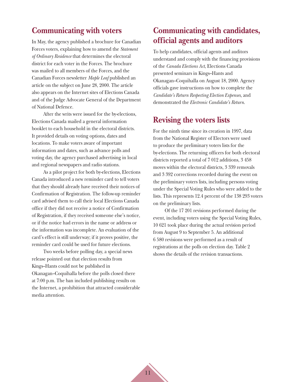## <span id="page-17-0"></span>**Communicating with voters**

In May, the agency published a brochure for Canadian Forces voters, explaining how to amend the *Statement of Ordinary Residence* that determines the electoral district for each voter in the Forces. The brochure was mailed to all members of the Forces, and the Canadian Forces newsletter *Maple Leaf* published an article on the subject on June 28, 2000. The article also appears on the Internet sites of Elections Canada and of the Judge Advocate General of the Department of National Defence.

After the writs were issued for the by-elections, Elections Canada mailed a general information booklet to each household in the electoral districts. It provided details on voting options, dates and locations. To make voters aware of important information and dates, such as advance polls and voting day, the agency purchased advertising in local and regional newspapers and radio stations.

As a pilot project for both by-elections, Elections Canada introduced a new reminder card to tell voters that they should already have received their notices of Confirmation of Registration. The follow-up reminder card advised them to call their local Elections Canada office if they did not receive a notice of Confirmation of Registration, if they received someone else's notice, or if the notice had errors in the name or address or the information was incomplete. An evaluation of the card's effect is still underway; if it proves positive, the reminder card could be used for future elections.

Two weeks before polling day, a special news release pointed out that election results from Kings–Hants could not be published in Okanagan–Coquihalla before the polls closed there at 7:00 p.m. The ban included publishing results on the Internet, a prohibition that attracted considerable media attention.

## **Communicating with candidates, official agents and auditors**

To help candidates, official agents and auditors understand and comply with the financing provisions of the *Canada Elections Act*, Elections Canada presented seminars in Kings–Hants and Okanagan–Coquihalla on August 18, 2000. Agency officials gave instructions on how to complete the *Candidate's Return Respecting Election Expenses*, and demonstrated the *Electronic Candidate's Return*.

## **Revising the voters lists**

For the ninth time since its creation in 1997, data from the National Register of Electors were used to produce the preliminary voters lists for the by-elections. The returning officers for both electoral districts reported a total of 7 012 additions, 3 458 moves within the electoral districts, 3 339 removals and 3 392 corrections recorded during the event on the preliminary voters lists, including persons voting under the Special Voting Rules who were added to the lists. This represents 12.4 percent of the 138 293 voters on the preliminary lists.

Of the 17 201 revisions performed during the event, including voters using the Special Voting Rules, 10 621 took place during the actual revision period from August 9 to September 5. An additional 6 580 revisions were performed as a result of registrations at the polls on election day. Table 2 shows the details of the revision transactions.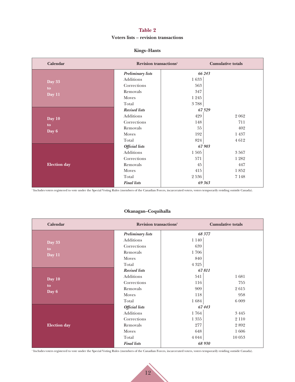#### **Table 2**

#### **Voters lists – revision transactions**

#### **Kings–Hants**

| <b>Calendar</b>     | Revision transactions <sup>1</sup> |          | <b>Cumulative totals</b> |  |
|---------------------|------------------------------------|----------|--------------------------|--|
|                     | <b>Preliminary lists</b>           |          | 66 243                   |  |
| Day 33              | Additions                          | $1\;633$ |                          |  |
| to                  | Corrections                        | 563      |                          |  |
| Day 11              | Removals                           | 347      |                          |  |
|                     | Moves                              | 1 2 4 5  |                          |  |
|                     | Total                              | $3\;788$ |                          |  |
|                     | <b>Revised lists</b>               |          | 67529                    |  |
| Day 10              | Additions                          | 429      | 2 0 6 2                  |  |
| to                  | Corrections                        | 148      | 711                      |  |
|                     | Removals                           | 55       | 402                      |  |
| Day 6               | Moves                              | 192      | 1437                     |  |
|                     | Total                              | 824      | 4612                     |  |
|                     | <b>Official</b> lists              |          | 67 903                   |  |
|                     | Additions                          | $1\;505$ | 3567                     |  |
|                     | Corrections                        | 571      | 1 2 8 2                  |  |
| <b>Election</b> day | Removals                           | 45       | 447                      |  |
|                     | Moves                              | 415      | 1852                     |  |
|                     | Total                              | 2536     | 7 1 4 8                  |  |
|                     | <b>Final lists</b>                 |          | 69 363                   |  |

<sup>1</sup> Includes voters registered to vote under the Special Voting Rules (members of the Canadian Forces, incarcerated voters, voters temporarily residing outside Canada).

### **Okanagan–Coquihalla**

| <b>Calendar</b>     | Revision transactions <sup>1</sup> |          | <b>Cumulative totals</b> |
|---------------------|------------------------------------|----------|--------------------------|
|                     | <b>Preliminary lists</b>           |          | 68 377                   |
| Day 33              | Additions                          | $1\;140$ |                          |
| to                  | Corrections                        | 639      |                          |
| Day 11              | Removals                           | 1706     |                          |
|                     | Moves                              | 840      |                          |
|                     | Total                              | $4\;325$ |                          |
|                     | <b>Revised lists</b>               |          | 67811                    |
| Day 10              | Additions                          | 541      | 1681                     |
| to                  | Corrections                        | 116      | 755                      |
| Day 6               | Removals                           | 909      | 2615                     |
|                     | Moves                              | 118      | 958                      |
|                     | Total                              | 1684     | 6 0 0 9                  |
|                     | <b>Official</b> lists              |          | 67443                    |
|                     | Additions                          | 1764     | 3445                     |
|                     | Corrections                        | 1 3 5 5  | 2 1 1 0                  |
| <b>Election</b> day | Removals                           | 277      | 2892                     |
|                     | Moves                              | 648      | 1606                     |
|                     | Total                              | 4 0 4 4  | 10 053                   |
|                     | <b>Final lists</b>                 |          | 68 930                   |

<sup>1</sup> Includes voters registered to vote under the Special Voting Rules (members of the Canadian Forces, incarcerated voters, voters temporarily residing outside Canada).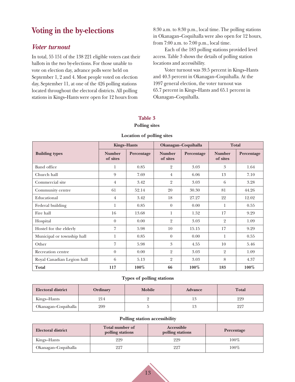## <span id="page-19-0"></span>**Voting in the by-elections**

### *Voter turnout*

In total, 55 151 of the 138 221 eligible voters cast their ballots in the two by-elections. For those unable to vote on election day, advance polls were held on September 1, 2 and 4. Most people voted on election day, September 11, at one of the 426 polling stations located throughout the electoral districts. All polling stations in Kings–Hants were open for 12 hours from

8:30 a.m. to 8:30 p.m., local time. The polling stations in Okanagan–Coquihalla were also open for 12 hours, from 7:00 a.m. to 7:00 p.m., local time.

Each of the 183 polling stations provided level access. Table 3 shows the details of polling station locations and accessibility.

Voter turnout was 39.5 percent in Kings–Hants and 40.3 percent in Okanagan–Coquihalla. At the 1997 general election, the voter turnout was 65.7 percent in Kings–Hants and 65.1 percent in Okanagan–Coquihalla.

### **Table 3 Polling sites**

|                            | <b>Kings-Hants</b>        |            | Okanagan-Coquihalla       |            | <b>Total</b>              |            |
|----------------------------|---------------------------|------------|---------------------------|------------|---------------------------|------------|
| <b>Building types</b>      | <b>Number</b><br>of sites | Percentage | <b>Number</b><br>of sites | Percentage | <b>Number</b><br>of sites | Percentage |
| <b>Band office</b>         | 1                         | 0.85       | $\overline{2}$            | 3.03       | 3                         | 1.64       |
| Church hall                | 9                         | 7.69       | $\overline{4}$            | 6.06       | 13                        | 7.10       |
| Commercial site            | $\overline{4}$            | 3.42       | $\overline{2}$            | 3.03       | 6                         | 3.28       |
| Community centre           | 61                        | 52.14      | 20                        | 30.30      | 81                        | 44.26      |
| Educational                | $\overline{4}$            | 3.42       | 18                        | 27.27      | 22                        | 12.02      |
| Federal building           | 1                         | 0.85       | $\Omega$                  | 0.00       | 1                         | 0.55       |
| Fire hall                  | 16                        | 13.68      | 1                         | 1.52       | 17                        | 9.29       |
| Hospital                   | $\theta$                  | 0.00       | $\overline{2}$            | 3.03       | $\overline{2}$            | 1.09       |
| Hostel for the elderly     | 7                         | 5.98       | 10                        | 15.15      | 17                        | 9.29       |
| Municipal or township hall | 1                         | 0.85       | $\theta$                  | 0.00       | 1                         | 0.55       |
| Other                      | $\overline{7}$            | 5.98       | 3                         | 4.55       | 10                        | 5.46       |
| Recreation centre          | $\theta$                  | 0.00       | $\overline{2}$            | 3.03       | $\overline{2}$            | 1.09       |
| Royal Canadian Legion hall | 6                         | 5.13       | $\overline{2}$            | 3.03       | 8                         | 4.37       |
| <b>Total</b>               | 117                       | $100\%$    | 66                        | 100%       | 183                       | $100\%$    |

#### **Location of polling sites**

#### **Types of polling stations**

| <b>Electoral district</b> | Ordinary | <b>Mobile</b> | <b>Advance</b> | <b>Total</b> |
|---------------------------|----------|---------------|----------------|--------------|
| Kings–Hants               | 214      |               |                | 229          |
| Okanagan-Coquihalla       | 209      |               | 13             | 227          |

#### **Polling station accessibility**

| <b>Electoral district</b> | <b>Total number of</b><br>polling stations | Accessible<br>polling stations | Percentage |
|---------------------------|--------------------------------------------|--------------------------------|------------|
| Kings–Hants               | 229                                        | 229                            | $100\%$    |
| Okanagan–Coquihalla       | 227                                        | 227                            | $100\%$    |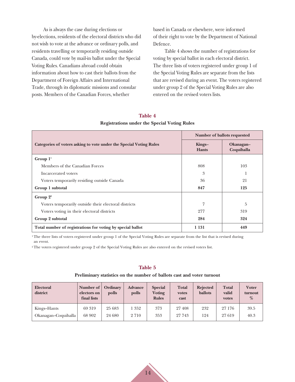As is always the case during elections or by-elections, residents of the electoral districts who did not wish to vote at the advance or ordinary polls, and residents travelling or temporarily residing outside Canada, could vote by mail-in ballot under the Special Voting Rules. Canadians abroad could obtain information about how to cast their ballots from the Department of Foreign Affairs and International Trade, through its diplomatic missions and consular posts. Members of the Canadian Forces, whether

based in Canada or elsewhere, were informed of their right to vote by the Department of National Defence.

Table 4 shows the number of registrations for voting by special ballot in each electoral district. The three lists of voters registered under group 1 of the Special Voting Rules are separate from the lists that are revised during an event. The voters registered under group 2 of the Special Voting Rules are also entered on the revised voters lists.

### **Table 4 Registrations under the Special Voting Rules**

|                                                                    | Number of ballots requested |                         |  |  |
|--------------------------------------------------------------------|-----------------------------|-------------------------|--|--|
| Categories of voters asking to vote under the Special Voting Rules | Kings-<br><b>Hants</b>      | Okanagan-<br>Coquihalla |  |  |
| Group $11$                                                         |                             |                         |  |  |
| Members of the Canadian Forces                                     | 808                         | 103                     |  |  |
| Incarcerated voters                                                | 3                           |                         |  |  |
| Voters temporarily residing outside Canada                         | 36                          | 21                      |  |  |
| Group 1 subtotal                                                   | 847                         | 125                     |  |  |
| Group $2^2$                                                        |                             |                         |  |  |
| Voters temporarily outside their electoral districts               | 7                           | 5                       |  |  |
| Voters voting in their electoral districts                         | 277                         | 319                     |  |  |
| Group 2 subtotal                                                   | 284                         | 324                     |  |  |
| Total number of registrations for voting by special ballot         | 1 1 3 1                     | 449                     |  |  |

<sup>1</sup>The three lists of voters registered under group 1 of the Special Voting Rules are separate from the list that is revised during an event.

<sup>2</sup> The voters registered under group 2 of the Special Voting Rules are also entered on the revised voters list.

#### **Table 5**

#### **Preliminary statistics on the number of ballots cast and voter turnout**

| Electoral<br>district | Number of<br>electors on<br>final lists | Ordinary<br>polls | <b>Advance</b><br>polls | <b>Special</b><br>Voting<br><b>Rules</b> | <b>Total</b><br>votes<br>cast | <b>Rejected</b><br><b>ballots</b> | <b>Total</b><br>valid<br>votes | <b>Voter</b><br>turnout<br>% |
|-----------------------|-----------------------------------------|-------------------|-------------------------|------------------------------------------|-------------------------------|-----------------------------------|--------------------------------|------------------------------|
| Kings–Hants           | 69 319                                  | 25 683            | 1 3 5 2                 | 373                                      | 27 408                        | 232                               | 27 176                         | 39.5                         |
| Okanagan–Coquihalla   | 68 902                                  | 24 680            | 2 7 1 0                 | 353                                      | 27 743                        | 124                               | 27619                          | 40.3                         |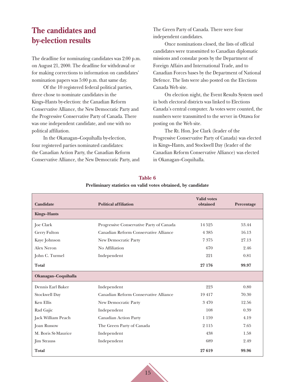## <span id="page-21-0"></span>**The candidates and by-election results**

The deadline for nominating candidates was 2:00 p.m. on August 21, 2000. The deadline for withdrawal or for making corrections to information on candidates' nomination papers was 5:00 p.m. that same day.

Of the 10 registered federal political parties, three chose to nominate candidates in the Kings–Hants by-election: the Canadian Reform Conservative Alliance, the New Democratic Party and the Progressive Conservative Party of Canada. There was one independent candidate, and one with no political affiliation.

In the Okanagan–Coquihalla by-election, four registered parties nominated candidates: the Canadian Action Party, the Canadian Reform Conservative Alliance, the New Democratic Party, and The Green Party of Canada. There were four independent candidates.

Once nominations closed, the lists of official candidates were transmitted to Canadian diplomatic missions and consular posts by the Department of Foreign Affairs and International Trade, and to Canadian Forces bases by the Department of National Defence. The lists were also posted on the Elections Canada Web site.

On election night, the Event Results System used in both electoral districts was linked to Elections Canada's central computer. As votes were counted, the numbers were transmitted to the server in Ottawa for posting on the Web site.

The Rt. Hon. Joe Clark (leader of the Progressive Conservative Party of Canada) was elected in Kings–Hants, and Stockwell Day (leader of the Canadian Reform Conservative Alliance) was elected in Okanagan–Coquihalla.

| <b>Candidate</b>     | <b>Political affiliation</b>             | <b>Valid votes</b><br>obtained | Percentage |
|----------------------|------------------------------------------|--------------------------------|------------|
| <b>Kings-Hants</b>   |                                          |                                |            |
| <b>Joe Clark</b>     | Progressive Conservative Party of Canada | 14525                          | 53.44      |
| Gerry Fulton         | Canadian Reform Conservative Alliance    | 4 3 8 5                        | 16.13      |
| Kaye Johnson         | New Democratic Party                     | 7375                           | 27.13      |
| Alex Neron           | No Affiliation                           | 670                            | 2.46       |
| John C. Turmel       | Independent                              | 221                            | 0.81       |
| <b>Total</b>         |                                          | 27 176                         | 99.97      |
| Okanagan-Coquihalla  |                                          |                                |            |
| Dennis Earl Baker    | Independent                              | 223                            | 0.80       |
| <b>Stockwell Day</b> | Canadian Reform Conservative Alliance    | 19417                          | 70.30      |
| Ken Ellis            | New Democratic Party                     | 3470                           | 12.56      |
| Rad Gajic            | Independent                              | 108                            | 0.39       |
| Jack William Peach   | Canadian Action Party                    | 1 1 5 9                        | 4.19       |
| Joan Russow          | The Green Party of Canada                | 2 1 1 5                        | 7.65       |
| M. Boris St-Maurice  | Independent                              | 438                            | 1.58       |
| <b>Jim Strauss</b>   | Independent                              | 689                            | 2.49       |
| <b>Total</b>         |                                          | 27 619                         | 99.96      |

#### **Table 6**

#### **Preliminary statistics on valid votes obtained, by candidate**